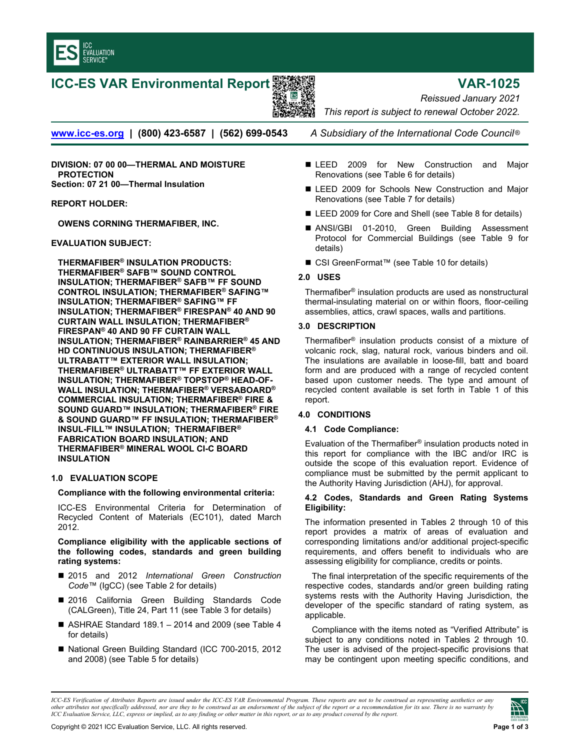

# **ICC-ES VAR Environmental Report VAR-1025**



*Reissued January 2021 This report is subject to renewal October 2022.* 

**[www.icc-es.org](http://www.icc-es.org/) | (800) 423-6587 | (562) 699-0543** *A Subsidiary of the International Code Council* ®

**DIVISION: 07 00 00—THERMAL AND MOISTURE PROTECTION Section: 07 21 00—Thermal Insulation** 

**REPORT HOLDER:** 

**OWENS CORNING THERMAFIBER, INC.** 

# **EVALUATION SUBJECT:**

**THERMAFIBER® INSULATION PRODUCTS: THERMAFIBER® SAFB™ SOUND CONTROL INSULATION; THERMAFIBER® SAFB™ FF SOUND CONTROL INSULATION; THERMAFIBER® SAFING™ INSULATION; THERMAFIBER® SAFING™ FF INSULATION; THERMAFIBER® FIRESPAN® 40 AND 90 CURTAIN WALL INSULATION; THERMAFIBER® FIRESPAN® 40 AND 90 FF CURTAIN WALL INSULATION; THERMAFIBER® RAINBARRIER® 45 AND HD CONTINUOUS INSULATION; THERMAFIBER® ULTRABATT™ EXTERIOR WALL INSULATION; THERMAFIBER® ULTRABATT™ FF EXTERIOR WALL INSULATION; THERMAFIBER® TOPSTOP® HEAD-OF-WALL INSULATION; THERMAFIBER® VERSABOARD® COMMERCIAL INSULATION; THERMAFIBER® FIRE & SOUND GUARD™ INSULATION; THERMAFIBER® FIRE & SOUND GUARD™ FF INSULATION; THERMAFIBER® INSUL-FILL™ INSULATION; THERMAFIBER® FABRICATION BOARD INSULATION; AND THERMAFIBER® MINERAL WOOL CI-C BOARD INSULATION**

# **1.0 EVALUATION SCOPE**

# **Compliance with the following environmental criteria:**

ICC-ES Environmental Criteria for Determination of Recycled Content of Materials (EC101), dated March 2012.

#### **Compliance eligibility with the applicable sections of the following codes, standards and green building rating systems:**

- 2015 and 2012 *International Green Construction Code*™ (IgCC) (see Table 2 for details)
- 2016 California Green Building Standards Code (CALGreen), Title 24, Part 11 (see Table 3 for details)
- ASHRAE Standard 189.1 2014 and 2009 (see Table 4 for details)
- National Green Building Standard (ICC 700-2015, 2012 and 2008) (see Table 5 for details)
- ELEED 2009 for New Construction and Major Renovations (see Table 6 for details)
- LEED 2009 for Schools New Construction and Major Renovations (see Table 7 for details)
- LEED 2009 for Core and Shell (see Table 8 for details)
- ANSI/GBI 01-2010, Green Building Assessment Protocol for Commercial Buildings (see Table 9 for details)
- CSI GreenFormat<sup>™</sup> (see Table 10 for details)

# **2.0 USES**

Thermafiber® insulation products are used as nonstructural thermal-insulating material on or within floors, floor-ceiling assemblies, attics, crawl spaces, walls and partitions.

# **3.0 DESCRIPTION**

Thermafiber® insulation products consist of a mixture of volcanic rock, slag, natural rock, various binders and oil. The insulations are available in loose-fill, batt and board form and are produced with a range of recycled content based upon customer needs. The type and amount of recycled content available is set forth in Table 1 of this report.

# **4.0 CONDITIONS**

# **4.1 Code Compliance:**

Evaluation of the Thermafiber® insulation products noted in this report for compliance with the IBC and/or IRC is outside the scope of this evaluation report. Evidence of compliance must be submitted by the permit applicant to the Authority Having Jurisdiction (AHJ), for approval.

#### **4.2 Codes, Standards and Green Rating Systems Eligibility:**

The information presented in Tables 2 through 10 of this report provides a matrix of areas of evaluation and corresponding limitations and/or additional project-specific requirements, and offers benefit to individuals who are assessing eligibility for compliance, credits or points.

The final interpretation of the specific requirements of the respective codes, standards and/or green building rating systems rests with the Authority Having Jurisdiction, the developer of the specific standard of rating system, as applicable.

Compliance with the items noted as "Verified Attribute" is subject to any conditions noted in Tables 2 through 10. The user is advised of the project-specific provisions that may be contingent upon meeting specific conditions, and



*ICC-ES Verification of Attributes Reports are issued under the ICC-ES VAR Environmental Program. These reports are not to be construed as representing aesthetics or any other attributes not specifically addressed, nor are they to be construed as an endorsement of the subject of the report or a recommendation for its use. There is no warranty by ICC Evaluation Service, LLC, express or implied, as to any finding or other matter in this report, or as to any product covered by the report.*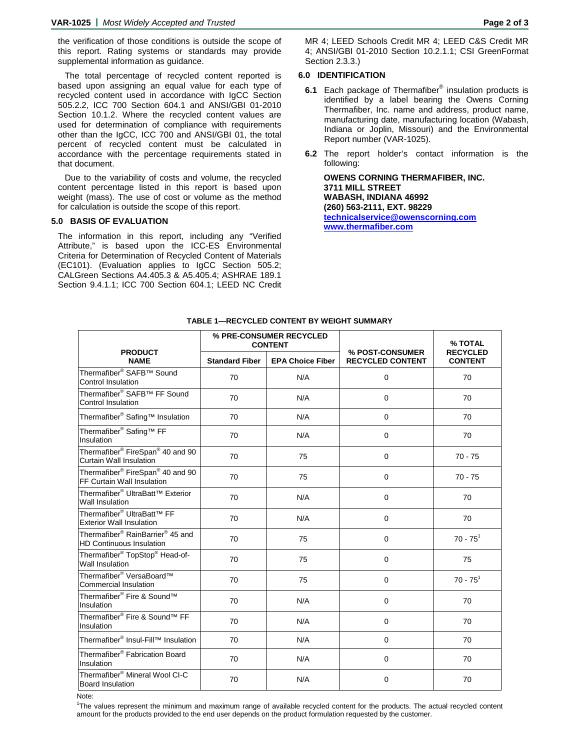the verification of those conditions is outside the scope of this report. Rating systems or standards may provide supplemental information as guidance.

The total percentage of recycled content reported is based upon assigning an equal value for each type of recycled content used in accordance with IgCC Section 505.2.2, ICC 700 Section 604.1 and ANSI/GBI 01-2010 Section 10.1.2. Where the recycled content values are used for determination of compliance with requirements other than the IgCC, ICC 700 and ANSI/GBI 01, the total percent of recycled content must be calculated in accordance with the percentage requirements stated in that document.

Due to the variability of costs and volume, the recycled content percentage listed in this report is based upon weight (mass). The use of cost or volume as the method for calculation is outside the scope of this report.

#### **5.0 BASIS OF EVALUATION**

The information in this report, including any "Verified Attribute," is based upon the ICC-ES Environmental Criteria for Determination of Recycled Content of Materials (EC101). (Evaluation applies to IgCC Section 505.2; CALGreen Sections A4.405.3 & A5.405.4; ASHRAE 189.1 Section 9.4.1.1; ICC 700 Section 604.1; LEED NC Credit

#### **6.0 IDENTIFICATION**

- **6.1** Each package of Thermafiber® insulation products is identified by a label bearing the Owens Corning Thermafiber, Inc. name and address, product name, manufacturing date, manufacturing location (Wabash, Indiana or Joplin, Missouri) and the Environmental Report number (VAR-1025).
- **6.2** The report holder's contact information is the following:

**OWENS CORNING THERMAFIBER, INC. 3711 MILL STREET WABASH, INDIANA 46992 (260) 563-2111, EXT. 98229 [technicalservice@owenscorning.com](mailto:technicalservice@owenscorning.com) [www.thermafiber.com](http://www.thermafiber.com/)**

|                                                                                             | % PRE-CONSUMER RECYCLED<br><b>CONTENT</b> |                         |                                            | % TOTAL                           |  |
|---------------------------------------------------------------------------------------------|-------------------------------------------|-------------------------|--------------------------------------------|-----------------------------------|--|
| <b>PRODUCT</b><br><b>NAME</b>                                                               | <b>Standard Fiber</b>                     | <b>EPA Choice Fiber</b> | % POST-CONSUMER<br><b>RECYCLED CONTENT</b> | <b>RECYCLED</b><br><b>CONTENT</b> |  |
| Thermafiber <sup>®</sup> SAFB <sup>™</sup> Sound<br>Control Insulation                      | 70                                        | N/A                     | 0                                          | 70                                |  |
| Thermafiber <sup>®</sup> SAFB <sup>™</sup> FF Sound<br>Control Insulation                   | 70                                        | N/A                     | $\mathbf 0$                                | 70                                |  |
| Thermafiber <sup>®</sup> Safing <sup>™</sup> Insulation                                     | 70                                        | N/A                     | $\mathbf 0$                                | 70                                |  |
| Thermafiber <sup>®</sup> Safing <sup>™</sup> FF<br>Insulation                               | 70                                        | N/A                     | 0                                          | 70                                |  |
| Thermafiber <sup>®</sup> FireSpan <sup>®</sup> 40 and 90<br>Curtain Wall Insulation         | 70                                        | 75                      | $\boldsymbol{0}$                           | $70 - 75$                         |  |
| Thermafiber <sup>®</sup> FireSpan <sup>®</sup> 40 and 90<br>FF Curtain Wall Insulation      | 70                                        | 75                      | $\mathbf 0$                                | $70 - 75$                         |  |
| Thermafiber <sup>®</sup> UltraBatt™ Exterior<br>Wall Insulation                             | 70                                        | N/A                     | $\mathbf 0$                                | 70                                |  |
| Thermafiber <sup>®</sup> UltraBatt <sup>™</sup> FF<br><b>Exterior Wall Insulation</b>       | 70                                        | N/A                     | $\mathbf 0$                                | 70                                |  |
| Thermafiber <sup>®</sup> RainBarrier <sup>®</sup> 45 and<br><b>HD Continuous Insulation</b> | 70                                        | 75                      | $\mathbf 0$                                | $70 - 75$ <sup>1</sup>            |  |
| Thermafiber <sup>®</sup> TopStop <sup>®</sup> Head-of-<br>Wall Insulation                   | 70                                        | 75                      | $\mathbf 0$                                | 75                                |  |
| Thermafiber <sup>®</sup> VersaBoard <sup>™</sup><br><b>Commercial Insulation</b>            | 70                                        | 75                      | 0                                          | $70 - 75$ <sup>1</sup>            |  |
| Thermafiber <sup>®</sup> Fire & Sound™<br>Insulation                                        | 70                                        | N/A<br>0                |                                            | 70                                |  |
| Thermafiber <sup>®</sup> Fire & Sound™ FF<br>Insulation                                     | 70                                        | N/A                     | $\mathbf 0$                                | 70                                |  |
| Thermafiber <sup>®</sup> Insul-Fill™ Insulation                                             | 70                                        | N/A                     | 0                                          | 70                                |  |
| Thermafiber <sup>®</sup> Fabrication Board<br>Insulation                                    | 70                                        | N/A                     | 0                                          | 70                                |  |
| Thermafiber <sup>®</sup> Mineral Wool CI-C<br><b>Board Insulation</b>                       | 70                                        | N/A                     | 0                                          | 70                                |  |

**TABLE 1—RECYCLED CONTENT BY WEIGHT SUMMARY**

1 The values represent the minimum and maximum range of available recycled content for the products. The actual recycled content amount for the products provided to the end user depends on the product formulation requested by the customer.

Note: